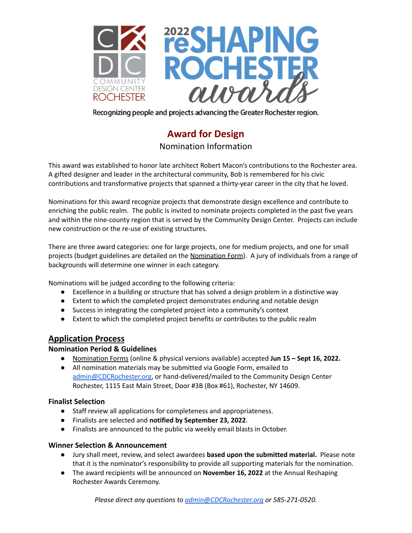

Recognizing people and projects advancing the Greater Rochester region.

# **Award for Design**

Nomination Information

This award was established to honor late architect Robert Macon's contributions to the Rochester area. A gifted designer and leader in the architectural community, Bob is remembered for his civic contributions and transformative projects that spanned a thirty-year career in the city that he loved.

Nominations for this award recognize projects that demonstrate design excellence and contribute to enriching the public realm. The public is invited to nominate projects completed in the past five years and within the nine-county region that is served by the Community Design Center. Projects can include new construction or the re-use of existing structures.

There are three award categories: one for large projects, one for medium projects, and one for small projects (budget guidelines are detailed on the Nomination Form). A jury of individuals from a range of backgrounds will determine one winner in each category.

Nominations will be judged according to the following criteria:

- Excellence in a building or structure that has solved a design problem in a distinctive way
- Extent to which the completed project demonstrates enduring and notable design
- Success in integrating the completed project into a community's context
- Extent to which the completed project benefits or contributes to the public realm

## **Application Process**

### **Nomination Period & Guidelines**

- Nomination Forms (online & physical versions available) accepted **Jun 15 – Sept 16, 2022.**
- All nomination materials may be submitted via Google Form, emailed to [admin@CDCRochester.org](mailto:admin@CDCRochester.org), or hand-delivered/mailed to the Community Design Center Rochester, 1115 East Main Street, Door #3B (Box #61), Rochester, NY 14609.

### **Finalist Selection**

- Staff review all applications for completeness and appropriateness.
- **●** Finalists are selected and **notified by September 23, 2022**.
- Finalists are announced to the public via weekly email blasts in October.

#### **Winner Selection & Announcement**

- Jury shall meet, review, and select awardees **based upon the submitted material.** Please note that it is the nominator's responsibility to provide all supporting materials for the nomination.
- The award recipients will be announced on **November 16, 2022** at the Annual Reshaping Rochester Awards Ceremony.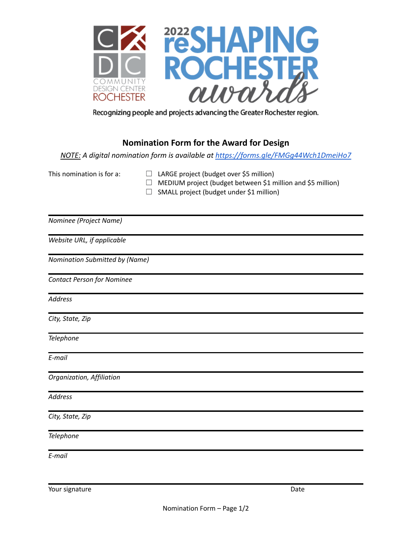

Recognizing people and projects advancing the Greater Rochester region.

# **Nomination Form for the Award for Design**

*NOTE: A digital nomination form is available at <https://forms.gle/FMGg44Wch1DmeiHo7>*

- This nomination is for a:  $\Box$  LARGE project (budget over \$5 million)
	- $\Box$  MEDIUM project (budget between \$1 million and \$5 million)
	- $\Box$  SMALL project (budget under \$1 million)

*Nominee (Project Name)*

*Website URL, if applicable*

*Nomination Submitted by (Name)*

*Contact Person for Nominee*

*Address*

*City, State, Zip*

*Telephone*

*E-mail*

*Organization, Affiliation*

*Address*

*City, State, Zip*

*Telephone*

*E-mail*

Your signature Date